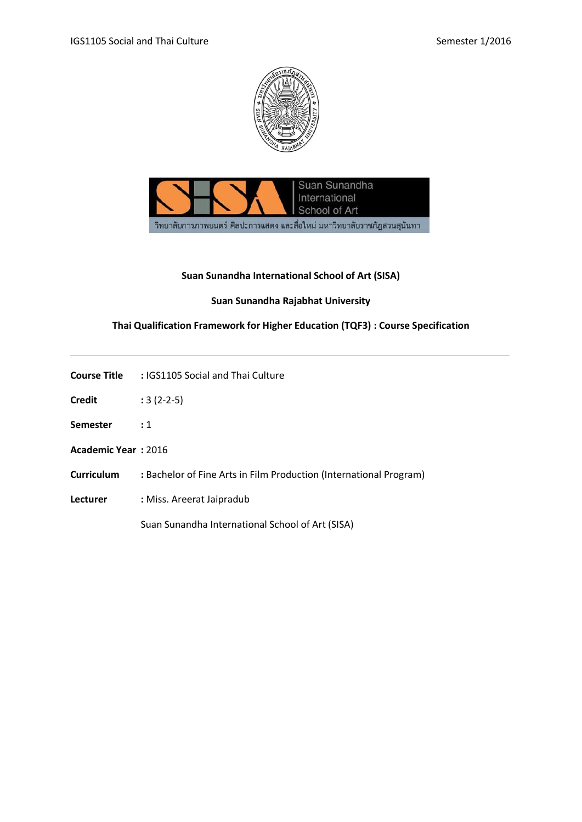



## **Suan Sunandha International School of Art (SISA)**

## **Suan Sunandha Rajabhat University**

# **Thai Qualification Framework for Higher Education (TQF3) : Course Specification**

| <b>Course Title</b>        | : IGS1105 Social and Thai Culture                                  |
|----------------------------|--------------------------------------------------------------------|
| <b>Credit</b>              | $:3(2-2-5)$                                                        |
| <b>Semester</b>            | $\colon$ 1                                                         |
| <b>Academic Year: 2016</b> |                                                                    |
| <b>Curriculum</b>          | : Bachelor of Fine Arts in Film Production (International Program) |
| Lecturer                   | : Miss. Areerat Jaipradub                                          |
|                            | Suan Sunandha International School of Art (SISA)                   |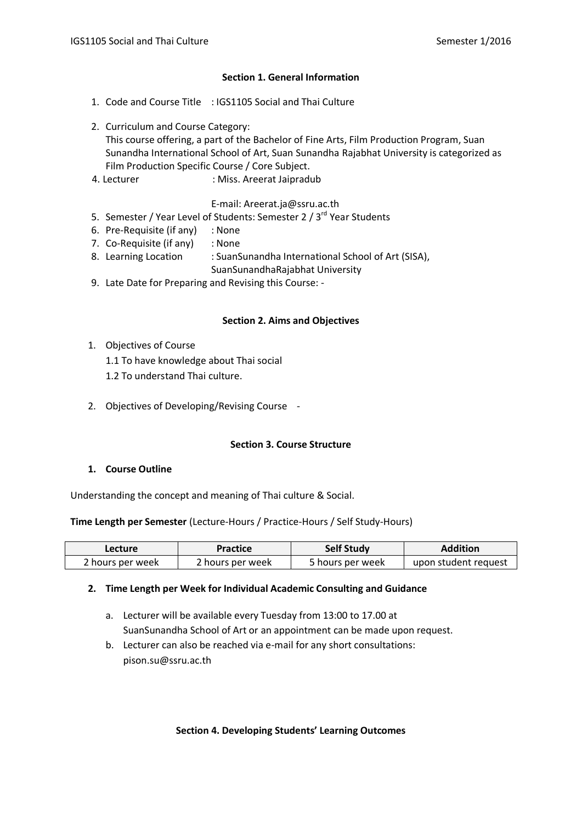#### **Section 1. General Information**

- 1. Code and Course Title : IGS1105 Social and Thai Culture
- 2. Curriculum and Course Category: This course offering, a part of the Bachelor of Fine Arts, Film Production Program, Suan Sunandha International School of Art, Suan Sunandha Rajabhat University is categorized as Film Production Specific Course / Core Subject.
- 4. Lecturer : Miss. Areerat Jaipradub

### E-mail: Areerat.ja@ssru.ac.th

- 5. Semester / Year Level of Students: Semester 2 /  $3^{rd}$  Year Students
- 6. Pre-Requisite (if any) : None
- 7. Co-Requisite (if any) : None
- 8. Learning Location : SuanSunandha International School of Art (SISA),
	- SuanSunandhaRajabhat University
- 9. Late Date for Preparing and Revising this Course: -

#### **Section 2. Aims and Objectives**

- 1. Objectives of Course
	- 1.1 To have knowledge about Thai social
	- 1.2 To understand Thai culture.
- 2. Objectives of Developing/Revising Course -

### **Section 3. Course Structure**

### **1. Course Outline**

Understanding the concept and meaning of Thai culture & Social.

#### **Time Length per Semester** (Lecture-Hours / Practice-Hours / Self Study-Hours)

| <b>Lecture</b>   | Practice         | <b>Self Study</b> | <b>Addition</b>      |
|------------------|------------------|-------------------|----------------------|
| 2 hours per week | 2 hours per week | 5 hours per week  | upon student request |

#### **2. Time Length per Week for Individual Academic Consulting and Guidance**

- a. Lecturer will be available every Tuesday from 13:00 to 17.00 at SuanSunandha School of Art or an appointment can be made upon request.
- b. Lecturer can also be reached via e-mail for any short consultations: pison.su@ssru.ac.th

#### **Section 4. Developing Students' Learning Outcomes**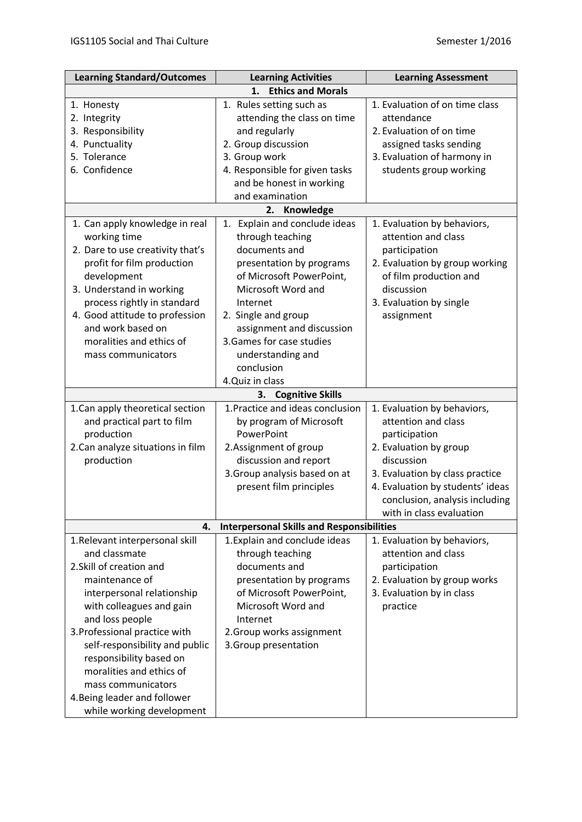| <b>Learning Standard/Outcomes</b>                      | <b>Learning Activities</b>                       | <b>Learning Assessment</b>            |  |  |  |
|--------------------------------------------------------|--------------------------------------------------|---------------------------------------|--|--|--|
|                                                        | <b>Ethics and Morals</b><br>1.                   |                                       |  |  |  |
| 1. Honesty                                             | 1. Rules setting such as                         | 1. Evaluation of on time class        |  |  |  |
| 2. Integrity                                           | attending the class on time                      | attendance                            |  |  |  |
| 3. Responsibility                                      | and regularly                                    | 2. Evaluation of on time              |  |  |  |
| 4. Punctuality                                         | 2. Group discussion                              | assigned tasks sending                |  |  |  |
| 5. Tolerance                                           | 3. Group work                                    | 3. Evaluation of harmony in           |  |  |  |
| 6. Confidence                                          | 4. Responsible for given tasks                   | students group working                |  |  |  |
|                                                        | and be honest in working                         |                                       |  |  |  |
|                                                        | and examination                                  |                                       |  |  |  |
|                                                        | 2.<br>Knowledge                                  |                                       |  |  |  |
| 1. Can apply knowledge in real                         | Explain and conclude ideas<br>1.                 | 1. Evaluation by behaviors,           |  |  |  |
| working time                                           | through teaching                                 | attention and class                   |  |  |  |
| 2. Dare to use creativity that's                       | documents and                                    | participation                         |  |  |  |
| profit for film production                             | presentation by programs                         | 2. Evaluation by group working        |  |  |  |
| development                                            | of Microsoft PowerPoint,                         | of film production and                |  |  |  |
| 3. Understand in working                               | Microsoft Word and                               | discussion                            |  |  |  |
| process rightly in standard                            | Internet                                         | 3. Evaluation by single               |  |  |  |
| 4. Good attitude to profession                         | 2. Single and group                              | assignment                            |  |  |  |
| and work based on                                      | assignment and discussion                        |                                       |  |  |  |
| moralities and ethics of                               | 3. Games for case studies                        |                                       |  |  |  |
| mass communicators                                     | understanding and                                |                                       |  |  |  |
|                                                        | conclusion                                       |                                       |  |  |  |
|                                                        | 4.Quiz in class                                  |                                       |  |  |  |
|                                                        | <b>Cognitive Skills</b><br>3.                    |                                       |  |  |  |
| 1. Can apply theoretical section                       | 1. Practice and ideas conclusion                 | 1. Evaluation by behaviors,           |  |  |  |
| and practical part to film                             | by program of Microsoft                          | attention and class                   |  |  |  |
| production                                             | PowerPoint                                       | participation                         |  |  |  |
| 2. Can analyze situations in film                      | 2.Assignment of group                            | 2. Evaluation by group                |  |  |  |
| production                                             | discussion and report                            | discussion                            |  |  |  |
|                                                        | 3. Group analysis based on at                    | 3. Evaluation by class practice       |  |  |  |
|                                                        | present film principles                          | 4. Evaluation by students' ideas      |  |  |  |
|                                                        |                                                  | conclusion, analysis including        |  |  |  |
|                                                        |                                                  | with in class evaluation              |  |  |  |
| 4.                                                     | <b>Interpersonal Skills and Responsibilities</b> |                                       |  |  |  |
| 1.Relevant interpersonal skill                         | 1. Explain and conclude ideas                    | 1. Evaluation by behaviors,           |  |  |  |
| and classmate                                          | through teaching                                 | attention and class                   |  |  |  |
| 2. Skill of creation and                               | documents and                                    | participation                         |  |  |  |
| maintenance of                                         | presentation by programs                         | 2. Evaluation by group works          |  |  |  |
|                                                        | of Microsoft PowerPoint,                         |                                       |  |  |  |
| interpersonal relationship<br>with colleagues and gain | Microsoft Word and                               | 3. Evaluation by in class<br>practice |  |  |  |
|                                                        |                                                  |                                       |  |  |  |
| and loss people                                        | Internet                                         |                                       |  |  |  |
| 3. Professional practice with                          | 2. Group works assignment                        |                                       |  |  |  |
| self-responsibility and public                         | 3. Group presentation                            |                                       |  |  |  |
| responsibility based on<br>moralities and ethics of    |                                                  |                                       |  |  |  |
|                                                        |                                                  |                                       |  |  |  |
| mass communicators                                     |                                                  |                                       |  |  |  |
| 4. Being leader and follower                           |                                                  |                                       |  |  |  |
| while working development                              |                                                  |                                       |  |  |  |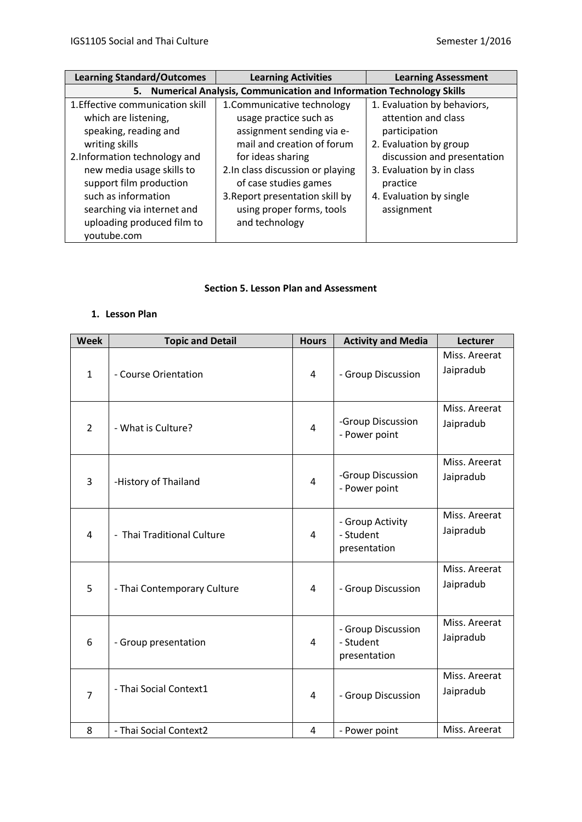| <b>Learning Standard/Outcomes</b>                                                                                                                                                       | <b>Learning Activities</b>                                                                                                                                        | <b>Learning Assessment</b>                                                                                    |  |  |
|-----------------------------------------------------------------------------------------------------------------------------------------------------------------------------------------|-------------------------------------------------------------------------------------------------------------------------------------------------------------------|---------------------------------------------------------------------------------------------------------------|--|--|
| 5. Numerical Analysis, Communication and Information Technology Skills                                                                                                                  |                                                                                                                                                                   |                                                                                                               |  |  |
| 1. Effective communication skill<br>which are listening,<br>speaking, reading and<br>writing skills                                                                                     | 1. Communicative technology<br>usage practice such as<br>assignment sending via e-<br>mail and creation of forum                                                  | 1. Evaluation by behaviors,<br>attention and class<br>participation<br>2. Evaluation by group                 |  |  |
| 2. Information technology and<br>new media usage skills to<br>support film production<br>such as information<br>searching via internet and<br>uploading produced film to<br>youtube.com | for ideas sharing<br>2. In class discussion or playing<br>of case studies games<br>3. Report presentation skill by<br>using proper forms, tools<br>and technology | discussion and presentation<br>3. Evaluation by in class<br>practice<br>4. Evaluation by single<br>assignment |  |  |

## **Section 5. Lesson Plan and Assessment**

## **1. Lesson Plan**

| <b>Week</b>    | <b>Topic and Detail</b>     | <b>Hours</b>   | <b>Activity and Media</b>                       | Lecturer                   |
|----------------|-----------------------------|----------------|-------------------------------------------------|----------------------------|
| $\mathbf{1}$   | - Course Orientation        | 4              | - Group Discussion                              | Miss. Areerat<br>Jaipradub |
| $\overline{2}$ | - What is Culture?          | 4              | -Group Discussion<br>- Power point              | Miss. Areerat<br>Jaipradub |
| 3              | -History of Thailand        | 4              | -Group Discussion<br>- Power point              | Miss. Areerat<br>Jaipradub |
| $\overline{4}$ | - Thai Traditional Culture  | 4              | - Group Activity<br>- Student<br>presentation   | Miss. Areerat<br>Jaipradub |
| 5              | - Thai Contemporary Culture | 4              | - Group Discussion                              | Miss. Areerat<br>Jaipradub |
| 6              | - Group presentation        | 4              | - Group Discussion<br>- Student<br>presentation | Miss. Areerat<br>Jaipradub |
| $\overline{7}$ | - Thai Social Context1      | $\overline{4}$ | - Group Discussion                              | Miss. Areerat<br>Jaipradub |
| 8              | - Thai Social Context2      | 4              | - Power point                                   | Miss. Areerat              |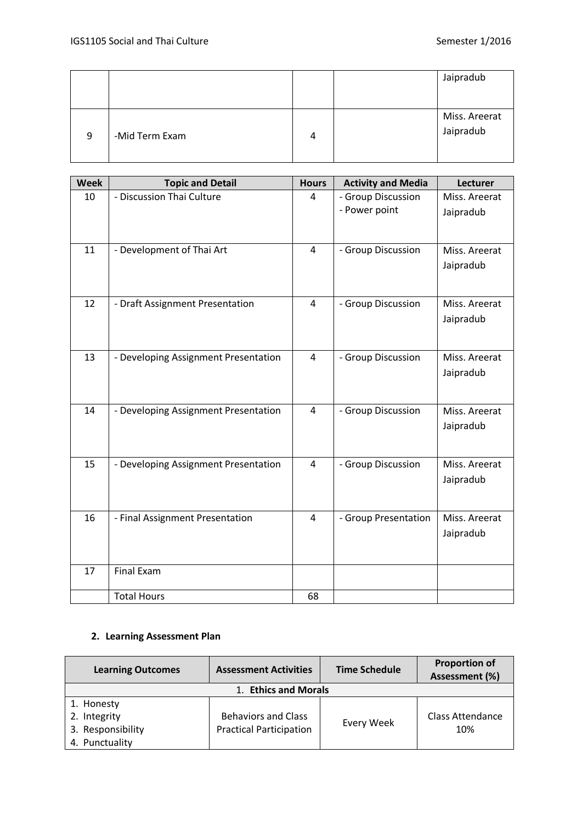|   |                |   | Jaipradub                  |
|---|----------------|---|----------------------------|
|   |                |   |                            |
| 9 | -Mid Term Exam | 4 | Miss. Areerat<br>Jaipradub |

| <b>Week</b> | <b>Topic and Detail</b>              | <b>Hours</b>   | <b>Activity and Media</b>           | Lecturer                   |
|-------------|--------------------------------------|----------------|-------------------------------------|----------------------------|
| 10          | - Discussion Thai Culture            | $\overline{4}$ | - Group Discussion<br>- Power point | Miss. Areerat<br>Jaipradub |
| 11          | - Development of Thai Art            | $\overline{4}$ | - Group Discussion                  | Miss. Areerat<br>Jaipradub |
| 12          | - Draft Assignment Presentation      | $\overline{4}$ | - Group Discussion                  | Miss. Areerat<br>Jaipradub |
| 13          | - Developing Assignment Presentation | $\overline{4}$ | - Group Discussion                  | Miss. Areerat<br>Jaipradub |
| 14          | - Developing Assignment Presentation | $\overline{4}$ | - Group Discussion                  | Miss. Areerat<br>Jaipradub |
| 15          | - Developing Assignment Presentation | 4              | - Group Discussion                  | Miss. Areerat<br>Jaipradub |
| 16          | - Final Assignment Presentation      | $\overline{4}$ | - Group Presentation                | Miss. Areerat<br>Jaipradub |
| 17          | <b>Final Exam</b>                    |                |                                     |                            |
|             | <b>Total Hours</b>                   | 68             |                                     |                            |

### **2. Learning Assessment Plan**

| <b>Learning Outcomes</b> | <b>Assessment Activities</b>   | <b>Time Schedule</b> | <b>Proportion of</b><br>Assessment (%) |  |
|--------------------------|--------------------------------|----------------------|----------------------------------------|--|
| 1. Ethics and Morals     |                                |                      |                                        |  |
| 1. Honesty               |                                |                      |                                        |  |
| 2. Integrity             | <b>Behaviors and Class</b>     | Every Week           | <b>Class Attendance</b>                |  |
| 3. Responsibility        | <b>Practical Participation</b> |                      | 10%                                    |  |
| 4. Punctuality           |                                |                      |                                        |  |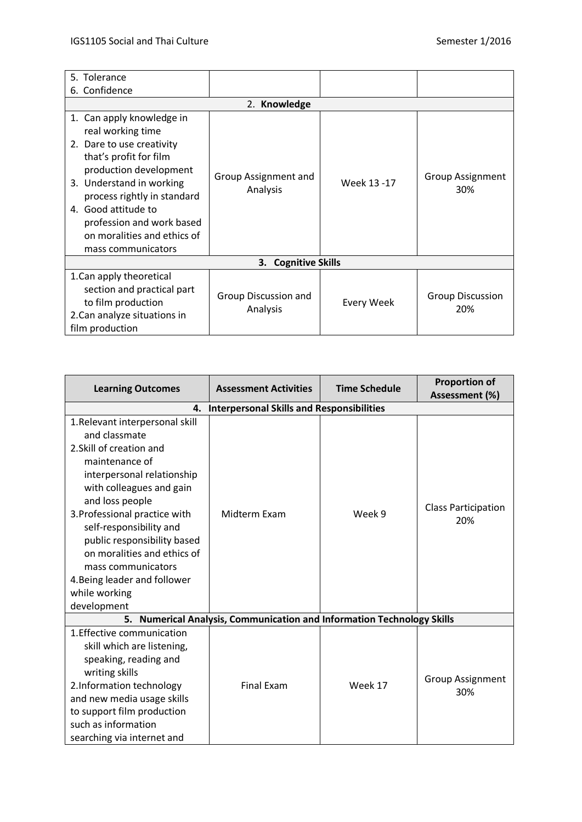| 5. Tolerance                                                                                                                                                                                                                                                                                        |                                  |             |                                |
|-----------------------------------------------------------------------------------------------------------------------------------------------------------------------------------------------------------------------------------------------------------------------------------------------------|----------------------------------|-------------|--------------------------------|
| Confidence<br>6.                                                                                                                                                                                                                                                                                    |                                  |             |                                |
|                                                                                                                                                                                                                                                                                                     | 2. Knowledge                     |             |                                |
| 1. Can apply knowledge in<br>real working time<br>2. Dare to use creativity<br>that's profit for film<br>production development<br>3. Understand in working<br>process rightly in standard<br>4. Good attitude to<br>profession and work based<br>on moralities and ethics of<br>mass communicators | Group Assignment and<br>Analysis | Week 13 -17 | <b>Group Assignment</b><br>30% |
|                                                                                                                                                                                                                                                                                                     | <b>Cognitive Skills</b><br>3.    |             |                                |
| 1. Can apply theoretical<br>section and practical part<br>to film production<br>2. Can analyze situations in<br>film production                                                                                                                                                                     | Group Discussion and<br>Analysis | Every Week  | <b>Group Discussion</b><br>20% |

| <b>Learning Outcomes</b>                                                                                                                                                                                                                                                                                                                                                                   | <b>Assessment Activities</b>                                               | <b>Time Schedule</b> | <b>Proportion of</b><br>Assessment (%) |  |
|--------------------------------------------------------------------------------------------------------------------------------------------------------------------------------------------------------------------------------------------------------------------------------------------------------------------------------------------------------------------------------------------|----------------------------------------------------------------------------|----------------------|----------------------------------------|--|
| <b>Interpersonal Skills and Responsibilities</b><br>4.                                                                                                                                                                                                                                                                                                                                     |                                                                            |                      |                                        |  |
| 1.Relevant interpersonal skill<br>and classmate<br>2. Skill of creation and<br>maintenance of<br>interpersonal relationship<br>with colleagues and gain<br>and loss people<br>3. Professional practice with<br>self-responsibility and<br>public responsibility based<br>on moralities and ethics of<br>mass communicators<br>4. Being leader and follower<br>while working<br>development | Midterm Exam                                                               | Week 9               | <b>Class Participation</b><br>20%      |  |
| 5.                                                                                                                                                                                                                                                                                                                                                                                         | <b>Numerical Analysis, Communication and Information Technology Skills</b> |                      |                                        |  |
| 1. Effective communication<br>skill which are listening,<br>speaking, reading and<br>writing skills<br>2. Information technology<br>and new media usage skills<br>to support film production<br>such as information<br>searching via internet and                                                                                                                                          | <b>Final Exam</b>                                                          | Week 17              | <b>Group Assignment</b><br>30%         |  |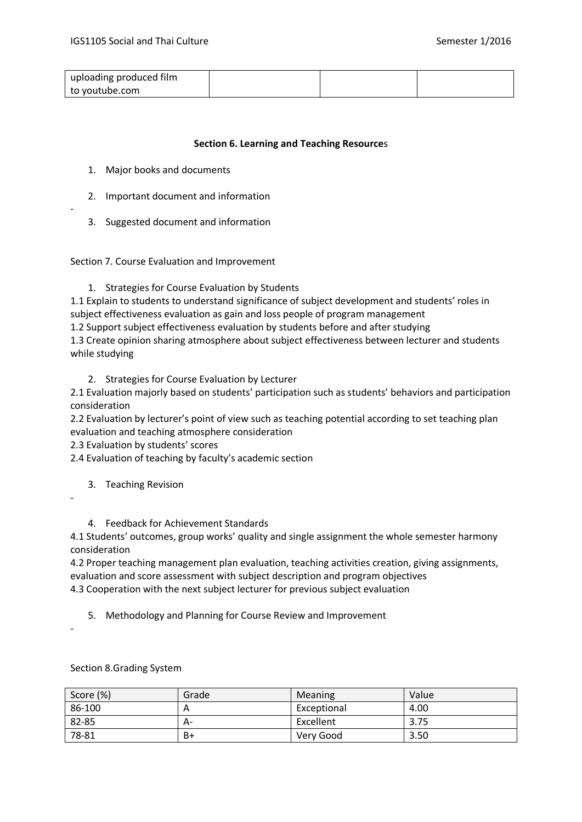| uploading produced film |  |  |
|-------------------------|--|--|
| to voutube.com          |  |  |

### **Section 6. Learning and Teaching Resource**s

- 1. Major books and documents
- 2. Important document and information
- 3. Suggested document and information

Section 7. Course Evaluation and Improvement

1. Strategies for Course Evaluation by Students

1.1 Explain to students to understand significance of subject development and students' roles in subject effectiveness evaluation as gain and loss people of program management

1.2 Support subject effectiveness evaluation by students before and after studying

1.3 Create opinion sharing atmosphere about subject effectiveness between lecturer and students while studying

2. Strategies for Course Evaluation by Lecturer

2.1 Evaluation majorly based on students' participation such as students' behaviors and participation consideration

2.2 Evaluation by lecturer's point of view such as teaching potential according to set teaching plan evaluation and teaching atmosphere consideration

2.3 Evaluation by students' scores

2.4 Evaluation of teaching by faculty's academic section

- 3. Teaching Revision
- -

-

4. Feedback for Achievement Standards

4.1 Students' outcomes, group works' quality and single assignment the whole semester harmony consideration

4.2 Proper teaching management plan evaluation, teaching activities creation, giving assignments, evaluation and score assessment with subject description and program objectives 4.3 Cooperation with the next subject lecturer for previous subject evaluation

5. Methodology and Planning for Course Review and Improvement

-

Section 8.Grading System

| Score (%) | Grade | <b>Meaning</b> | Value |
|-----------|-------|----------------|-------|
| 86-100    | A     | Exceptional    | 4.00  |
| 82-85     | А-    | Excellent      | 3.75  |
| 78-81     | B+    | Very Good      | 3.50  |